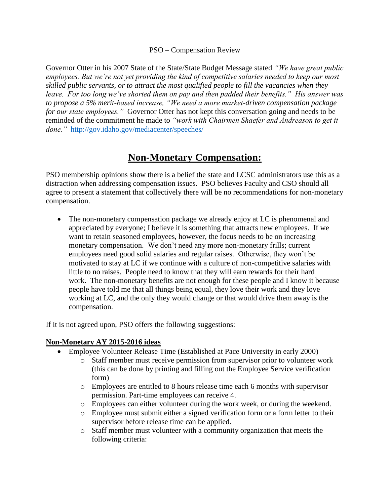### PSO – Compensation Review

Governor Otter in his 2007 State of the State/State Budget Message stated *"We have great public employees. But we're not yet providing the kind of competitive salaries needed to keep our most skilled public servants, or to attract the most qualified people to fill the vacancies when they leave. For too long we've shorted them on pay and then padded their benefits." His answer was to propose a 5% merit-based increase, "We need a more market-driven compensation package for our state employees."* Governor Otter has not kept this conversation going and needs to be reminded of the commitment he made to *"work with Chairmen Shaefer and Andreason to get it done."* <http://gov.idaho.gov/mediacenter/speeches/>

# **Non-Monetary Compensation:**

PSO membership opinions show there is a belief the state and LCSC administrators use this as a distraction when addressing compensation issues. PSO believes Faculty and CSO should all agree to present a statement that collectively there will be no recommendations for non-monetary compensation.

 The non-monetary compensation package we already enjoy at LC is phenomenal and appreciated by everyone; I believe it is something that attracts new employees. If we want to retain seasoned employees, however, the focus needs to be on increasing monetary compensation. We don't need any more non-monetary frills; current employees need good solid salaries and regular raises. Otherwise, they won't be motivated to stay at LC if we continue with a culture of non-competitive salaries with little to no raises. People need to know that they will earn rewards for their hard work. The non-monetary benefits are not enough for these people and I know it because people have told me that all things being equal, they love their work and they love working at LC, and the only they would change or that would drive them away is the compensation.

If it is not agreed upon, PSO offers the following suggestions:

### **Non-Monetary AY 2015-2016 ideas**

- Employee Volunteer Release Time (Established at Pace University in early 2000)
	- o Staff member must receive permission from supervisor prior to volunteer work (this can be done by printing and filling out the Employee Service verification form)
	- o Employees are entitled to 8 hours release time each 6 months with supervisor permission. Part-time employees can receive 4.
	- o Employees can either volunteer during the work week, or during the weekend.
	- o Employee must submit either a signed verification form or a form letter to their supervisor before release time can be applied.
	- o Staff member must volunteer with a community organization that meets the following criteria: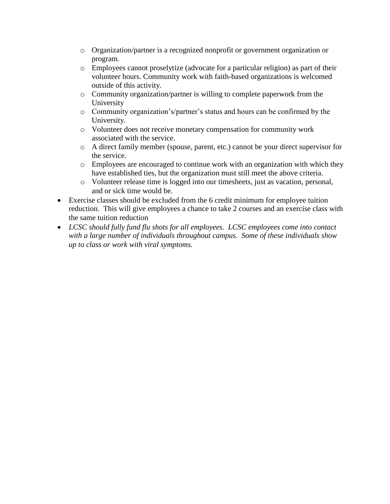- o Organization/partner is a recognized nonprofit or government organization or program.
- o Employees cannot proselytize (advocate for a particular religion) as part of their volunteer hours. Community work with faith-based organizations is welcomed outside of this activity.
- o Community organization/partner is willing to complete paperwork from the University
- o Community organization's/partner's status and hours can be confirmed by the University.
- o Volunteer does not receive monetary compensation for community work associated with the service.
- o A direct family member (spouse, parent, etc.) cannot be your direct supervisor for the service.
- o Employees are encouraged to continue work with an organization with which they have established ties, but the organization must still meet the above criteria.
- o Volunteer release time is logged into our timesheets, just as vacation, personal, and or sick time would be.
- Exercise classes should be excluded from the 6 credit minimum for employee tuition reduction. This will give employees a chance to take 2 courses and an exercise class with the same tuition reduction
- *LCSC should fully fund flu shots for all employees. LCSC employees come into contact with a large number of individuals throughout campus. Some of these individuals show up to class or work with viral symptoms.*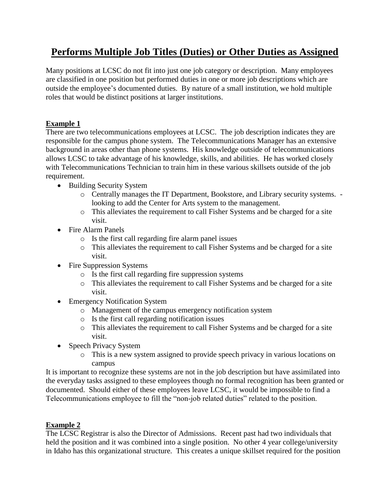# **Performs Multiple Job Titles (Duties) or Other Duties as Assigned**

Many positions at LCSC do not fit into just one job category or description. Many employees are classified in one position but performed duties in one or more job descriptions which are outside the employee's documented duties. By nature of a small institution, we hold multiple roles that would be distinct positions at larger institutions.

## **Example 1**

There are two telecommunications employees at LCSC. The job description indicates they are responsible for the campus phone system. The Telecommunications Manager has an extensive background in areas other than phone systems. His knowledge outside of telecommunications allows LCSC to take advantage of his knowledge, skills, and abilities. He has worked closely with Telecommunications Technician to train him in these various skillsets outside of the job requirement.

- Building Security System
	- o Centrally manages the IT Department, Bookstore, and Library security systems. looking to add the Center for Arts system to the management.
	- o This alleviates the requirement to call Fisher Systems and be charged for a site visit.
- Fire Alarm Panels
	- o Is the first call regarding fire alarm panel issues
	- o This alleviates the requirement to call Fisher Systems and be charged for a site visit.
- Fire Suppression Systems
	- o Is the first call regarding fire suppression systems
	- o This alleviates the requirement to call Fisher Systems and be charged for a site visit.
- Emergency Notification System
	- o Management of the campus emergency notification system
	- o Is the first call regarding notification issues
	- o This alleviates the requirement to call Fisher Systems and be charged for a site visit.
- Speech Privacy System
	- o This is a new system assigned to provide speech privacy in various locations on campus

It is important to recognize these systems are not in the job description but have assimilated into the everyday tasks assigned to these employees though no formal recognition has been granted or documented. Should either of these employees leave LCSC, it would be impossible to find a Telecommunications employee to fill the "non-job related duties" related to the position.

## **Example 2**

The LCSC Registrar is also the Director of Admissions. Recent past had two individuals that held the position and it was combined into a single position. No other 4 year college/university in Idaho has this organizational structure. This creates a unique skillset required for the position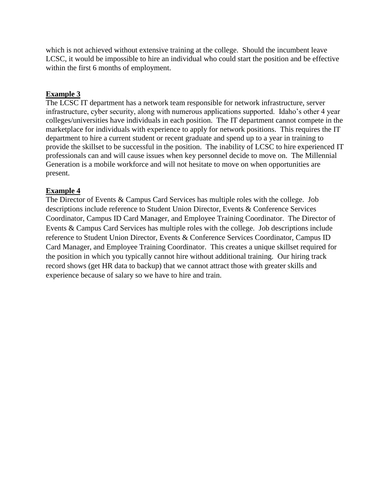which is not achieved without extensive training at the college. Should the incumbent leave LCSC, it would be impossible to hire an individual who could start the position and be effective within the first 6 months of employment.

## **Example 3**

The LCSC IT department has a network team responsible for network infrastructure, server infrastructure, cyber security, along with numerous applications supported. Idaho's other 4 year colleges/universities have individuals in each position. The IT department cannot compete in the marketplace for individuals with experience to apply for network positions. This requires the IT department to hire a current student or recent graduate and spend up to a year in training to provide the skillset to be successful in the position. The inability of LCSC to hire experienced IT professionals can and will cause issues when key personnel decide to move on. The Millennial Generation is a mobile workforce and will not hesitate to move on when opportunities are present.

### **Example 4**

The Director of Events & Campus Card Services has multiple roles with the college. Job descriptions include reference to Student Union Director, Events & Conference Services Coordinator, Campus ID Card Manager, and Employee Training Coordinator. The Director of Events & Campus Card Services has multiple roles with the college. Job descriptions include reference to Student Union Director, Events & Conference Services Coordinator, Campus ID Card Manager, and Employee Training Coordinator. This creates a unique skillset required for the position in which you typically cannot hire without additional training. Our hiring track record shows (get HR data to backup) that we cannot attract those with greater skills and experience because of salary so we have to hire and train.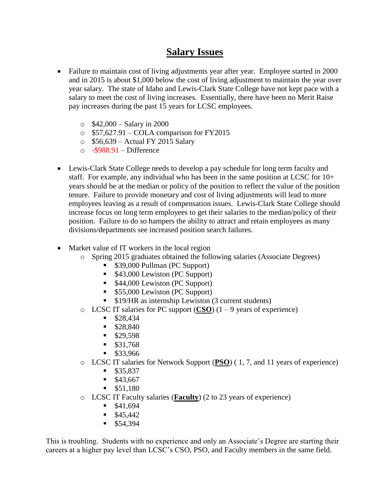# **Salary Issues**

- Failure to maintain cost of living adjustments year after year. Employee started in 2000 and in 2015 is about \$1,000 below the cost of living adjustment to maintain the year over year salary. The state of Idaho and Lewis-Clark State College have not kept pace with a salary to meet the cost of living increases. Essentially, there have been no Merit Raise pay increases during the past 15 years for LCSC employees.
	- $\circ$  \$42,000 Salary in 2000
	- o \$57,627.91 COLA comparison for FY2015
	- o \$56,639 Actual FY 2015 Salary
	- $\circ$  -\$988.91 Difference
- Lewis-Clark State College needs to develop a pay schedule for long term faculty and staff. For example, any individual who has been in the same position at LCSC for 10+ years should be at the median or policy of the position to reflect the value of the position tenure. Failure to provide monetary and cost of living adjustments will lead to more employees leaving as a result of compensation issues. Lewis-Clark State College should increase focus on long term employees to get their salaries to the median/policy of their position. Failure to do so hampers the ability to attract and retain employees as many divisions/departments see increased position search failures.
- Market value of IT workers in the local region
	- o Spring 2015 graduates obtained the following salaries (Associate Degrees)
		- **539,000 Pullman (PC Support)**
		- \$43,000 Lewiston (PC Support)
		- \$44,000 Lewiston (PC Support)
		- \$55,000 Lewiston (PC Support)
		- **S19/HR** as internship Lewiston (3 current students)
	- o LCSC IT salaries for PC support  $(CSO)$   $(1 9$  years of experience)
		- $$28,434$
		- $$28,840$
		- $$29,598$
		- $\blacksquare$  \$31,768
		- \$33,966
	- o LCSC IT salaries for Network Support (**PSO**) ( 1, 7, and 11 years of experience)
		- $$35,837$
		- $$43,667$
		- $\blacksquare$  \$51,180
	- o LCSC IT Faculty salaries (**Faculty**) (2 to 23 years of experience)
		- $$41,694$
		- $$45,442$
		- $$54,394$

This is troubling. Students with no experience and only an Associate's Degree are starting their careers at a higher pay level than LCSC's CSO, PSO, and Faculty members in the same field.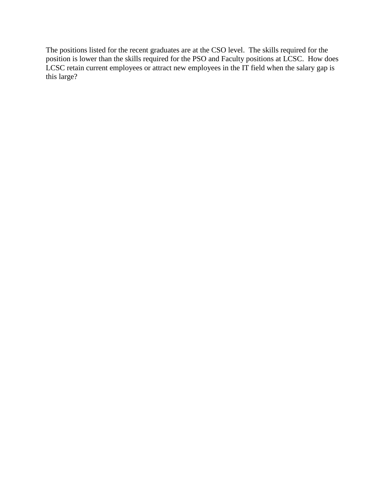The positions listed for the recent graduates are at the CSO level. The skills required for the position is lower than the skills required for the PSO and Faculty positions at LCSC. How does LCSC retain current employees or attract new employees in the IT field when the salary gap is this large?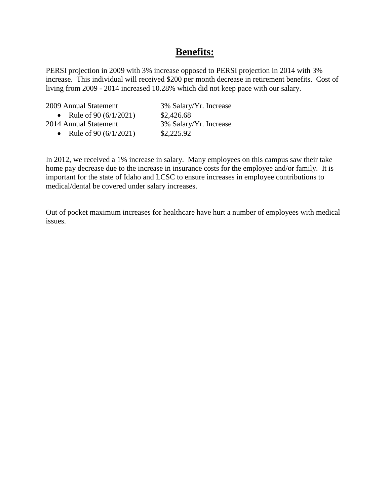# **Benefits:**

PERSI projection in 2009 with 3% increase opposed to PERSI projection in 2014 with 3% increase. This individual will received \$200 per month decrease in retirement benefits. Cost of living from 2009 - 2014 increased 10.28% which did not keep pace with our salary.

| 2009 Annual Statement     | 3% Salary/Yr. Increase |
|---------------------------|------------------------|
| • Rule of 90 $(6/1/2021)$ | \$2,426.68             |
| 2014 Annual Statement     | 3% Salary/Yr. Increase |
| Rule of 90 $(6/1/2021)$   | \$2,225.92             |

In 2012, we received a 1% increase in salary. Many employees on this campus saw their take home pay decrease due to the increase in insurance costs for the employee and/or family. It is important for the state of Idaho and LCSC to ensure increases in employee contributions to medical/dental be covered under salary increases.

Out of pocket maximum increases for healthcare have hurt a number of employees with medical issues.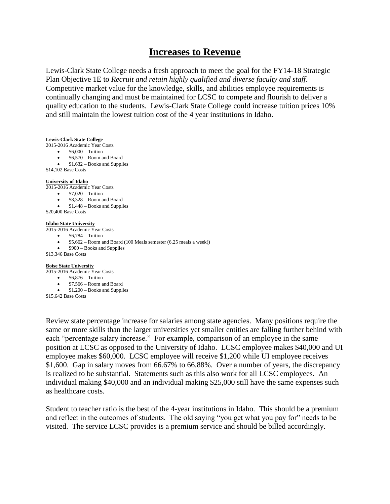## **Increases to Revenue**

Lewis-Clark State College needs a fresh approach to meet the goal for the FY14-18 Strategic Plan Objective 1E to *Recruit and retain highly qualified and diverse faculty and staff*. Competitive market value for the knowledge, skills, and abilities employee requirements is continually changing and must be maintained for LCSC to compete and flourish to deliver a quality education to the students. Lewis-Clark State College could increase tuition prices 10% and still maintain the lowest tuition cost of the 4 year institutions in Idaho.

#### **Lewis-Clark State College**

- 2015-2016 Academic Year Costs
	- $\bullet$  \$6,000 Tuition
	- $\bullet$  \$6,570 Room and Board
	- $\bullet$  \$1,632 Books and Supplies
- \$14,102 Base Costs

#### **University of Idaho**

2015-2016 Academic Year Costs

- $\bullet$  \$7,020 Tuition
- $$8,328 Room$  and Board
- $\bullet$  \$1,448 Books and Supplies
- \$20,400 Base Costs

#### **Idaho State University**

2015-2016 Academic Year Costs

- $\bullet$  \$6,784 Tuition
- \$5,662 Room and Board (100 Meals semester (6.25 meals a week))
- $$900 Books$  and Supplies

\$13,346 Base Costs

#### **Boise State University**

2015-2016 Academic Year Costs

- $\bullet$  \$6,876 Tuition
	- \$7,566 Room and Board
- \$1,200 Books and Supplies
- \$15,642 Base Costs

Review state percentage increase for salaries among state agencies. Many positions require the same or more skills than the larger universities yet smaller entities are falling further behind with each "percentage salary increase." For example, comparison of an employee in the same position at LCSC as opposed to the University of Idaho. LCSC employee makes \$40,000 and UI employee makes \$60,000. LCSC employee will receive \$1,200 while UI employee receives \$1,600. Gap in salary moves from 66.67% to 66.88%. Over a number of years, the discrepancy is realized to be substantial. Statements such as this also work for all LCSC employees. An individual making \$40,000 and an individual making \$25,000 still have the same expenses such as healthcare costs.

Student to teacher ratio is the best of the 4-year institutions in Idaho. This should be a premium and reflect in the outcomes of students. The old saying "you get what you pay for" needs to be visited. The service LCSC provides is a premium service and should be billed accordingly.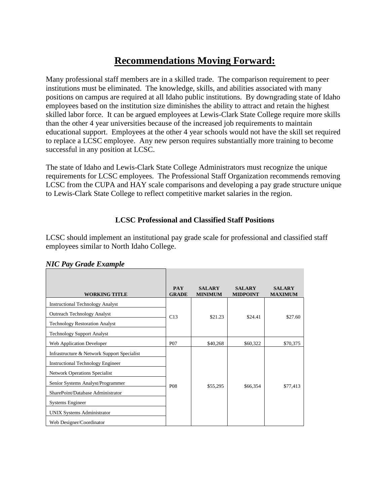# **Recommendations Moving Forward:**

Many professional staff members are in a skilled trade. The comparison requirement to peer institutions must be eliminated. The knowledge, skills, and abilities associated with many positions on campus are required at all Idaho public institutions. By downgrading state of Idaho employees based on the institution size diminishes the ability to attract and retain the highest skilled labor force. It can be argued employees at Lewis-Clark State College require more skills than the other 4 year universities because of the increased job requirements to maintain educational support. Employees at the other 4 year schools would not have the skill set required to replace a LCSC employee. Any new person requires substantially more training to become successful in any position at LCSC.

The state of Idaho and Lewis-Clark State College Administrators must recognize the unique requirements for LCSC employees. The Professional Staff Organization recommends removing LCSC from the CUPA and HAY scale comparisons and developing a pay grade structure unique to Lewis-Clark State College to reflect competitive market salaries in the region.

### **LCSC Professional and Classified Staff Positions**

LCSC should implement an institutional pay grade scale for professional and classified staff employees similar to North Idaho College.

| <b>WORKING TITLE</b>                        | <b>PAY</b><br><b>GRADE</b> | <b>SALARY</b><br><b>MINIMUM</b> | <b>SALARY</b><br><b>MIDPOINT</b> | <b>SALARY</b><br><b>MAXIMUM</b> |
|---------------------------------------------|----------------------------|---------------------------------|----------------------------------|---------------------------------|
| <b>Instructional Technology Analyst</b>     |                            |                                 |                                  |                                 |
| <b>Outreach Technology Analyst</b>          | C13                        | \$21.23                         | \$24.41                          | \$27.60                         |
| <b>Technology Restoration Analyst</b>       |                            |                                 |                                  |                                 |
| <b>Technology Support Analyst</b>           |                            |                                 |                                  |                                 |
| Web Application Developer                   | <b>P07</b>                 | \$40,268                        | \$60,322                         | \$70,375                        |
| Infrastructure & Network Support Specialist |                            |                                 |                                  |                                 |
| <b>Instructional Technology Engineer</b>    |                            |                                 |                                  |                                 |
| <b>Network Operations Specialist</b>        |                            |                                 |                                  |                                 |
| Senior Systems Analyst/Programmer           | <b>P08</b>                 | \$55,295                        | \$66,354                         | \$77,413                        |
| SharePoint/Database Administrator           |                            |                                 |                                  |                                 |
| <b>Systems Engineer</b>                     |                            |                                 |                                  |                                 |
| <b>UNIX Systems Administrator</b>           |                            |                                 |                                  |                                 |
| Web Designer/Coordinator                    |                            |                                 |                                  |                                 |

*NIC Pay Grade Example*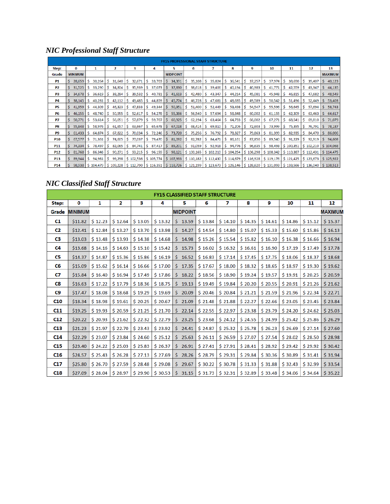## *NIC Professional Staff Structure*

|                 | <b>FY15 PROFESSIONAL STAFE STRUCTURE</b> |                |  |         |    |           |    |           |      |                       |              |                 |          |           |    |           |     |           |          |           |          |           |           |    |           |    |                |
|-----------------|------------------------------------------|----------------|--|---------|----|-----------|----|-----------|------|-----------------------|--------------|-----------------|----------|-----------|----|-----------|-----|-----------|----------|-----------|----------|-----------|-----------|----|-----------|----|----------------|
| Step:           |                                          | 0              |  | 1       |    | 2         |    | 3         |      | 4                     |              | 5               |          | 6         |    | 7         |     | 8         |          | 9         |          | 10        | 11        |    | 12        |    | 13             |
| Grade           |                                          | <b>MINIMUM</b> |  |         |    |           |    |           |      |                       |              | <b>MIDPOINT</b> |          |           |    |           |     |           |          |           |          |           |           |    |           |    | <b>MAXIMUM</b> |
| P1              |                                          | 28,659         |  | 30,264  |    | 31,640    |    | 32,671    | S.   | 33,703                |              | 34,391          | s.       | 35,108    | S. | 35,824    | -S. | 36,541    | s        | 37,257    | s.       | 37,974    | 38,690    | s  | 39,407    | S. | 40,123         |
| <b>P2</b>       |                                          | 31,525         |  | 33,290  |    | 34,804    |    | 35,939    | ١s   | 37,073                |              | 37,830          | -S       | 38,618    | -S | 39,406    | -S  | 40,194    |          | 40,983    | -S       | 41,771    | 42,559    |    | 43,347    |    | 44,135         |
| P3              |                                          | 34,678         |  | 36,619  |    | 38,284    |    | 39,532    | s.   | 40,781                | s            | 41,613          | s.       | 42,480    | S. | 43,347    | -S  | 44,214    | <b>S</b> | 45,081    | S.       | 45,948    | 46,815    | s  | 47,682    |    | 48,549         |
| P4              |                                          | 38,145         |  | 40,281  |    | 42,112    |    | 43,485    | -S   | 44,859                | s.           | 45,774          | -S       | 46,728    | -S | 47,681    | -S  | 48,635    | -S       | 49,589    | -S       | 50,542    | 51,496    | s  | 52,449    |    | 53,403         |
| <b>P5</b>       |                                          | 41,959         |  | 44,309  |    | 46,323    |    | 47,833    | s    | 49,344                |              | 50,351          | s.       | 51,400    | s. | 52,449    | S.  | 53,498    | -S       | 54,547    | <b>S</b> | 55,596    | 56,645    |    | 57,694    |    | 58,743         |
| <b>P6</b>       |                                          | 46,155         |  | 48,740  |    | 50,955    |    | 52,617    | s    | 54,278                |              | 55,386          |          | 56,540    | S  | 57,694    | S   | 58,848    |          | 60,002    | S        | 61,155    | 62,309    |    | 63,463    |    | 64,617         |
| P7              |                                          | 50,771         |  | 53,614  |    | 56,051    |    | 57,879    | -S   | 59,707                |              | 60,925          | <b>S</b> | 62,194    | s. | 63,464    | -S  | 64,733    | -S       | 66,002    | -S       | 67,271    | 68,541    |    | 69,810    |    | 71,079         |
| P8              |                                          | 55,848         |  | 58,976  | s  | 61,657    |    | 63,667    | -S   | 65,678                | S.           | 67,018          | <b>S</b> | 68,414    | S. | 69,810    | -S  | 71,206    | -S       | 72,603    | s        | 73,999    | 75,395    | s  | 76,791    |    | 78,187         |
| P9              |                                          | 61,433         |  | 64,874  | Ŝ. | 67,822    | -S | 70,034    | l S. | 72,246                | <sub>S</sub> | 73,720          | l S      | 75,256    | -S | 76,792    | IS. | 78,327    | <b>S</b> | 79,863    | -S       | 81,399    | 82,935    | s. | 84,470    | s. | 86,006         |
| <b>P10</b>      |                                          | 67,577         |  | 71,361  | S  | 74,605    | -S | 77,037    | ١s   | 79,470                | S.           | 81,092          | S        | 82,782    | S. | 84,471    | -S  | 86,161    | s        | 87,850    | S.       | 89,540    | 91,229    | s  | 92,919    | S. | 94,608         |
| P11             |                                          | 74,334         |  | 78,497  |    | 82,065    |    | 84,741    | -S   | 87,417                | s            | 89,201          | S.       | 91,059    | -S | 92,918    | S.  | 94,776    | <b>S</b> | 96,635    | s.       | 98,493    | \$100,351 |    | \$102,210 |    | \$104,068      |
| <b>P12</b>      |                                          | 81,768         |  | 86,346  |    | 90,271    |    | 93,215    | s    | 96,159                | S.           | 98,121          |          | \$100,165 |    | \$102,210 |     | \$104,254 |          | \$106,298 |          | \$108,342 | \$110,387 |    | \$112,431 |    | \$114,475      |
| P13             |                                          | 89,944         |  | 94,981  |    | 99,298    |    | \$102,536 |      | $\frac{1}{2}$ 105,774 |              | \$107,933       |          | \$110,182 |    | \$112,430 |     | \$114,679 |          | \$116,928 |          | \$119,176 | \$121,425 |    | \$123,673 |    | \$125,922      |
| P <sub>14</sub> |                                          | 98,938         |  | 104,479 |    | \$109,228 |    | \$112,790 |      | $\frac{1}{2}$ 116,351 |              | \$118,726       |          | \$121,199 |    | \$123,673 |     | \$126,146 |          | \$128,620 |          | \$131,093 | \$133,566 |    | \$136,040 |    | \$138,513      |

# *NIC Classified Staff Structure*

|                 |                |         |         |         |         | <b>FY15 CLASSIFIED STAFF STRUCTURE</b> |         |         |         |         |         |         |                |
|-----------------|----------------|---------|---------|---------|---------|----------------------------------------|---------|---------|---------|---------|---------|---------|----------------|
| Step:           | 0              | 1       | 2       | з       | 4       | 5                                      | 6       | 7       | 8       | 9       | 10      | 11      | 12             |
| Grade           | <b>MINIMUM</b> |         |         |         |         | <b>MIDPOINT</b>                        |         |         |         |         |         |         | <b>MAXIMUM</b> |
| C1              | \$11.82        | \$12.23 | \$12.64 | \$13.05 | \$13.32 | \$13.59                                | \$13.84 | \$14.10 | \$14.35 | \$14.61 | \$14.86 | \$15.12 | \$15.37        |
| C2              | \$12.41        | \$12.84 | \$13.27 | \$13.70 | \$13.98 | \$14.27                                | \$14.54 | \$14.80 | \$15.07 | \$15.33 | \$15.60 | \$15.86 | \$16.13        |
| C3              | \$13.03        | \$13.48 | \$13.93 | \$14.38 | \$14.68 | \$14.98                                | \$15.26 | \$15.54 | \$15.82 | \$16.10 | \$16.38 | \$16.66 | \$16.94        |
| C4              | \$13.68        | \$14.16 | \$14.63 | \$15.10 | \$15.42 | \$15.73                                | \$16.02 | \$16.32 | \$16.61 | \$16.90 | \$17.19 | \$17.49 | \$17.78        |
| C5              | \$14.37        | \$14.87 | \$15.36 | \$15.86 | \$16.19 | \$16.52                                | \$16.83 | \$17.14 | \$17.45 | \$17.75 | \$18.06 | \$18.37 | \$18.68        |
| C6              | \$15.09        | \$15.62 | \$16.14 | \$16.66 | \$17.00 | \$17.35                                | \$17.67 | \$18.00 | \$18.32 | \$18.65 | \$18.97 | \$19.30 | \$19.62        |
| C7              | \$15.84        | \$16.40 | \$16.94 | \$17.49 | \$17.86 | \$18.22                                | \$18.56 | \$18.90 | \$19.24 | \$19.57 | \$19.91 | \$20.25 | \$20.59        |
| C8              | \$16.63        | \$17.22 | \$17.79 | \$18.36 | \$18.75 | \$19.13                                | \$19.49 | \$19.84 | \$20.20 | \$20.55 | \$20.91 | \$21.26 | \$21.62        |
| C9              | \$17.47        | \$18.08 | \$18.68 | \$19.29 | \$19.69 | 20.09<br>S.                            | \$20.46 | \$20.84 | \$21.21 | \$21.59 | \$21.96 | \$22.34 | \$22.71        |
| <b>C10</b>      | \$18.34        | \$18.98 | \$19.61 | \$20.25 | \$20.67 | \$21.09                                | \$21.48 | \$21.88 | \$22.27 | \$22.66 | \$23.05 | \$23.45 | \$23.84        |
| <b>C11</b>      | \$19.25        | \$19.93 | \$20.59 | \$21.25 | \$21.70 | \$22.14                                | \$22.55 | \$22.97 | \$23.38 | \$23.79 | \$24.20 | \$24.62 | \$25.03        |
| C12             | \$20.22        | \$20.93 | \$21.62 | \$22.32 | \$22.79 | \$23.25                                | \$23.68 | \$24.12 | \$24.55 | \$24.99 | \$25.42 | \$25.86 | \$26.29        |
| <b>C13</b>      | \$21.23        | \$21.97 | \$22.70 | \$23.43 | \$23.92 | \$24.41                                | \$24.87 | \$25.32 | \$25.78 | \$26.23 | \$26.69 | \$27.14 | \$27.60        |
| C <sub>14</sub> | \$22.29        | \$23.07 | \$23.84 | \$24.60 | \$25.12 | \$25.63                                | \$26.11 | \$26.59 | \$27.07 | \$27.54 | \$28.02 | \$28.50 | \$28.98        |
| C15             | \$23.40        | \$24.22 | \$25.03 | \$25.83 | \$26.37 | \$26.91                                | \$27.41 | \$27.91 | \$28.41 | \$28.92 | \$29.42 | \$29.92 | \$30.42        |
| C <sub>16</sub> | \$24.57        | \$25.43 | \$26.28 | \$27.13 | \$27.69 | 28.26<br>S.                            | \$28.79 | \$29.31 | \$29.84 | \$30.36 | \$30.89 | \$31.41 | \$31.94        |
| C17             | \$25.80        | \$26.70 | \$27.59 | \$28.48 | \$29.08 | \$29.67                                | \$30.22 | \$30.78 | \$31.33 | \$31.88 | \$32.43 | \$32.99 | \$33.54        |
| <b>C18</b>      | \$27.09        | \$28.04 | \$28.97 | \$29.90 | \$30.53 | \$31.15                                | \$31.73 | \$32.31 | \$32.89 | \$33.48 | \$34.06 | \$34.64 | \$35.22        |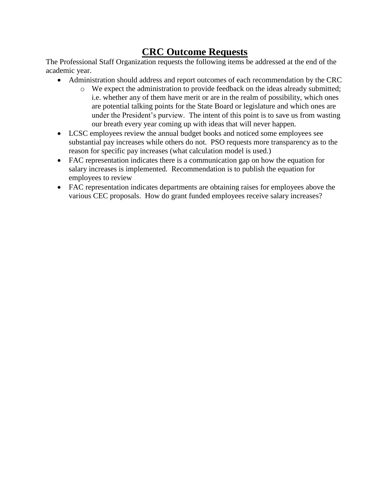# **CRC Outcome Requests**

The Professional Staff Organization requests the following items be addressed at the end of the academic year.

- Administration should address and report outcomes of each recommendation by the CRC
	- o We expect the administration to provide feedback on the ideas already submitted; i.e. whether any of them have merit or are in the realm of possibility, which ones are potential talking points for the State Board or legislature and which ones are under the President's purview. The intent of this point is to save us from wasting our breath every year coming up with ideas that will never happen.
- LCSC employees review the annual budget books and noticed some employees see substantial pay increases while others do not. PSO requests more transparency as to the reason for specific pay increases (what calculation model is used.)
- FAC representation indicates there is a communication gap on how the equation for salary increases is implemented. Recommendation is to publish the equation for employees to review
- FAC representation indicates departments are obtaining raises for employees above the various CEC proposals. How do grant funded employees receive salary increases?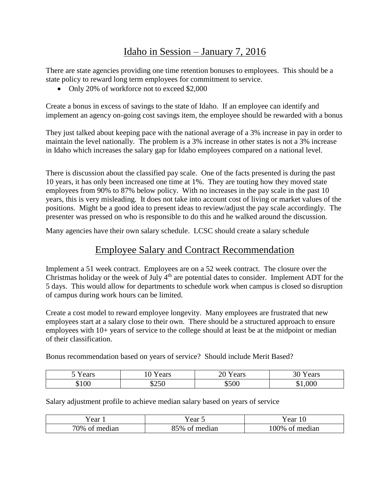# Idaho in Session – January 7, 2016

There are state agencies providing one time retention bonuses to employees. This should be a state policy to reward long term employees for commitment to service.

• Only 20% of workforce not to exceed \$2,000

Create a bonus in excess of savings to the state of Idaho. If an employee can identify and implement an agency on-going cost savings item, the employee should be rewarded with a bonus

They just talked about keeping pace with the national average of a 3% increase in pay in order to maintain the level nationally. The problem is a 3% increase in other states is not a 3% increase in Idaho which increases the salary gap for Idaho employees compared on a national level.

There is discussion about the classified pay scale. One of the facts presented is during the past 10 years, it has only been increased one time at 1%. They are touting how they moved state employees from 90% to 87% below policy. With no increases in the pay scale in the past 10 years, this is very misleading. It does not take into account cost of living or market values of the positions. Might be a good idea to present ideas to review/adjust the pay scale accordingly. The presenter was pressed on who is responsible to do this and he walked around the discussion.

Many agencies have their own salary schedule. LCSC should create a salary schedule

# Employee Salary and Contract Recommendation

Implement a 51 week contract. Employees are on a 52 week contract. The closure over the Christmas holiday or the week of July  $4<sup>th</sup>$  are potential dates to consider. Implement ADT for the 5 days. This would allow for departments to schedule work when campus is closed so disruption of campus during work hours can be limited.

Create a cost model to reward employee longevity. Many employees are frustrated that new employees start at a salary close to their own. There should be a structured approach to ensure employees with 10+ years of service to the college should at least be at the midpoint or median of their classification.

Bonus recommendation based on years of service? Should include Merit Based?

| $\mathbf{r}$ | ears  | 20    | ears          |
|--------------|-------|-------|---------------|
| cears ا      | 1U.   | ears  | $\mathcal{L}$ |
| \$100        | \$250 | \$500 | $\$1,\!000$   |

Salary adjustment profile to achieve median salary based on years of service

| ear<br>.                       | ear                      | ear<br>1 U       |  |  |
|--------------------------------|--------------------------|------------------|--|--|
| 70%<br>med<br>$\Omega$<br>11an | median<br>%۱<br>∩1<br>.ت | $00\%$<br>median |  |  |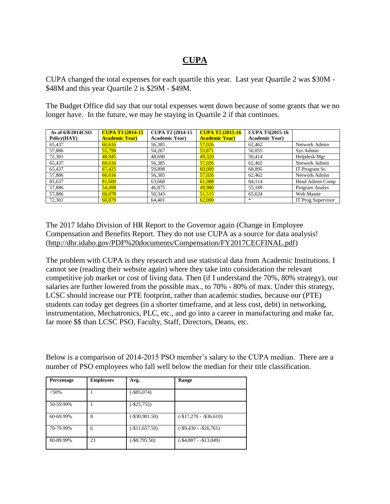## **CUPA**

CUPA changed the total expenses for each quartile this year. Last year Quartile 2 was \$30M - \$48M and this year Quartile 2 is \$29M - \$49M.

The Budget Office did say that our total expenses went down because of some grants that we no longer have. In the future, we may be staying in Quartile 2 if that continues.

| As of 6/8/2014CSO<br>Policy(HAY) | <b>CUPA T3 (2014-15)</b><br><b>Academic Year)</b> | <b>CUPA T2 (2014-15)</b><br><b>Academic Year)</b> | <b>CUPA T2 (2015-16)</b><br><b>Academic Year)</b> | <b>CUPA T3(2015-16)</b><br><b>Academic Year)</b> |                    |
|----------------------------------|---------------------------------------------------|---------------------------------------------------|---------------------------------------------------|--------------------------------------------------|--------------------|
| 65,437                           | 60.616                                            | 56,385                                            | 57,026                                            | 62,462                                           | Network Admin      |
| 57,886                           | 55,790                                            | 54,267                                            | 53,871                                            | 56,055                                           | Sys Admin          |
| 72,301                           | 48,945                                            | 48,690                                            | 49,320                                            | 50,414                                           | Helpdesk Mgr       |
| 65,437                           | 60.616                                            | 56,385                                            | 57,026                                            | 62,462                                           | Network Admin      |
| 65,437                           | 67,425                                            | 59,898                                            | 60,000                                            | 68,895                                           | IT Program Sr.     |
| 57,886                           | 60.616                                            | 56,385                                            | 57,026                                            | 62,462                                           | Network Admin      |
| 85,637                           | 81,600                                            | 63,660                                            | 61,088                                            | 84,114                                           | Head Admin Comp    |
| 57,886                           | 54,498                                            | 46,875                                            | 49,980                                            | 55,189                                           | Program Analys     |
| 57,886                           | 60.078                                            | 50,343                                            | 51,515                                            | 65,624                                           | Web Master         |
| 72,301                           | 60,879                                            | 64.401                                            | 62,000                                            | *                                                | IT Prog Supervisor |

The 2017 Idaho Division of HR Report to the Governor again (Change in Employee Compensation and Benefits Report. They do not use CUPA as a source for data analysis! [\(http://dhr.idaho.gov/PDF%20documents/Compensation/FY2017CECFINAL.pdf\)](http://dhr.idaho.gov/PDF%20documents/Compensation/FY2017CECFINAL.pdf)

The problem with CUPA is they research and use statistical data from Academic Institutions. I cannot see (reading their website again) where they take into consideration the relevant competitive job market or cost of living data. Then (if I understand the 70%, 80% strategy), our salaries are further lowered from the possible max., to 70% - 80% of max. Under this strategy, LCSC should increase our PTE footprint, rather than academic studies, because our (PTE) students can today get degrees (in a shorter timeframe, and at less cost, debt) in networking, instrumentation, Mechatronics, PLC, etc., and go into a career in manufacturing and make far, far more \$\$ than LCSC PSO, Faculty, Staff, Directors, Deans, etc.

Below is a comparison of 2014-2015 PSO member's salary to the CUPA median. There are a number of PSO employees who fall well below the median for their title classification.

| <b>Percentage</b> | <b>Employees</b> | Avg.             | Range                    |
|-------------------|------------------|------------------|--------------------------|
| < 50%             |                  | $(-\$85,074)$    |                          |
| 50-59.99%         |                  | $(-\$25,755)$    |                          |
| 60-69.99%         | 8                | $(-\$30,901.50)$ | $(-\$17,270 - \$36,610)$ |
| 70-79.99%         | 6                | $(-\$11,657.50)$ | $(-\$9,430 - \$26,761)$  |
| 80-89.99%         | 23               | $(-\$8,795.50)$  | $(-\$4,887 - \$13,049)$  |